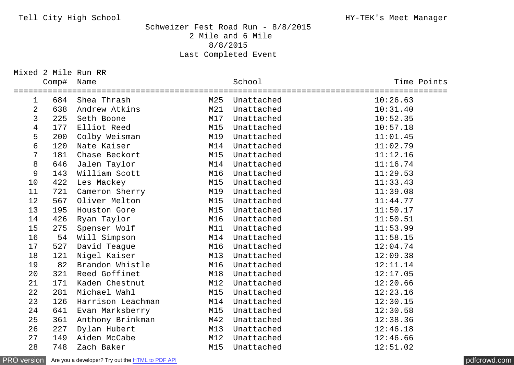## Tell City High School HY-TEK's Meet Manager

## Schweizer Fest Road Run - 8/8/2015 2 Mile and 6 Mile 8/8/2015 Last Completed Event

Mixed 2 Mile Run RR

|                  | Comp# | Name              |                      | School         | Time Points<br>============== |
|------------------|-------|-------------------|----------------------|----------------|-------------------------------|
| $\mathbf{1}$     |       | 684 Shea Thrash   | ==================== | M25 Unattached | 10:26.63                      |
| $\overline{2}$   | 638   | Andrew Atkins     | M21                  | Unattached     | 10:31.40                      |
| 3                | 225   | Seth Boone        | M17                  | Unattached     | 10:52.35                      |
| $\overline{4}$   | 177   | Elliot Reed       | M15                  | Unattached     | 10:57.18                      |
| 5                | 200   | Colby Weisman     | M19                  | Unattached     | 11:01.45                      |
| $\boldsymbol{6}$ | 120   | Nate Kaiser       | M14                  | Unattached     | 11:02.79                      |
| $\overline{7}$   | 181   | Chase Beckort     | M15                  | Unattached     | 11:12.16                      |
| $\bf 8$          | 646   | Jalen Taylor      | M14                  | Unattached     | 11:16.74                      |
| 9                | 143   | William Scott     | M16                  | Unattached     | 11:29.53                      |
| 10               | 422   | Les Mackey        | M15                  | Unattached     | 11:33.43                      |
| 11               | 721   | Cameron Sherry    | M19                  | Unattached     | 11:39.08                      |
| 12               | 567   | Oliver Melton     | M15                  | Unattached     | 11:44.77                      |
| 13               | 195   | Houston Gore      | M15                  | Unattached     | 11:50.17                      |
| 14               | 426   | Ryan Taylor       | M16                  | Unattached     | 11:50.51                      |
| 15               | 275   | Spenser Wolf      | M11                  | Unattached     | 11:53.99                      |
| 16               | 54    | Will Simpson      | M14                  | Unattached     | 11:58.15                      |
| 17               | 527   | David Teague      | M16                  | Unattached     | 12:04.74                      |
| 18               | 121   | Nigel Kaiser      | M13                  | Unattached     | 12:09.38                      |
| 19               | 82    | Brandon Whistle   | M16                  | Unattached     | 12:11.14                      |
| 20               | 321   | Reed Goffinet     | M18                  | Unattached     | 12:17.05                      |
| 21               | 171   | Kaden Chestnut    | M12                  | Unattached     | 12:20.66                      |
| 22               | 281   | Michael Wahl      | M15                  | Unattached     | 12:23.16                      |
| 23               | 126   | Harrison Leachman | M14                  | Unattached     | 12:30.15                      |
| 24               | 641   | Evan Marksberry   | M15                  | Unattached     | 12:30.58                      |
| 25               | 361   | Anthony Brinkman  | M42                  | Unattached     | 12:38.36                      |
| 26               | 227   | Dylan Hubert      | M13                  | Unattached     | 12:46.18                      |
| 27               | 149   | Aiden McCabe      | M12                  | Unattached     | 12:46.66                      |
| 28               | 748   | Zach Baker        | M15                  | Unattached     | 12:51.02                      |

[PRO version](http://pdfcrowd.com/customize/) Are you a developer? Try out th[e HTML to PDF API](http://pdfcrowd.com/html-to-pdf-api/?ref=pdf) compared and the CHTML of PDF API [pdfcrowd.com](http://pdfcrowd.com)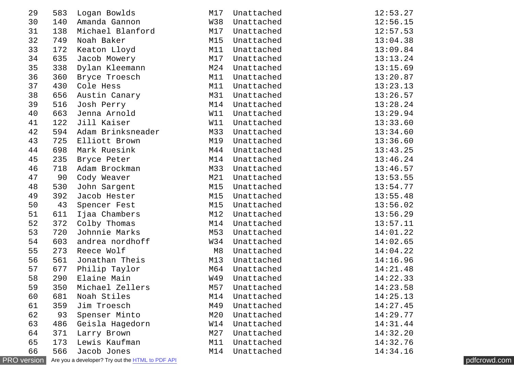| 29                 | 583 | Logan Bowlds                                     | M17 | Unattached | 12:53.27 |              |
|--------------------|-----|--------------------------------------------------|-----|------------|----------|--------------|
| 30                 | 140 | Amanda Gannon                                    | W38 | Unattached | 12:56.15 |              |
| 31                 | 138 | Michael Blanford                                 | M17 | Unattached | 12:57.53 |              |
| 32                 | 749 | Noah Baker                                       | M15 | Unattached | 13:04.38 |              |
| 33                 | 172 | Keaton Lloyd                                     | M11 | Unattached | 13:09.84 |              |
| 34                 | 635 | Jacob Mowery                                     | M17 | Unattached | 13:13.24 |              |
| 35                 | 338 | Dylan Kleemann                                   | M24 | Unattached | 13:15.69 |              |
| 36                 | 360 | Bryce Troesch                                    | M11 | Unattached | 13:20.87 |              |
| 37                 | 430 | Cole Hess                                        | M11 | Unattached | 13:23.13 |              |
| 38                 | 656 | Austin Canary                                    | M31 | Unattached | 13:26.57 |              |
| 39                 | 516 | Josh Perry                                       | M14 | Unattached | 13:28.24 |              |
| 40                 | 663 | Jenna Arnold                                     | W11 | Unattached | 13:29.94 |              |
| 41                 | 122 | Jill Kaiser                                      | W11 | Unattached | 13:33.60 |              |
| 42                 |     | 594 Adam Brinksneader                            | M33 | Unattached | 13:34.60 |              |
| 43                 | 725 | Elliott Brown                                    | M19 | Unattached | 13:36.60 |              |
| 44                 | 698 | Mark Ruesink                                     | M44 | Unattached | 13:43.25 |              |
| 45                 | 235 | Bryce Peter                                      | M14 | Unattached | 13:46.24 |              |
| 46                 | 718 | Adam Brockman                                    | M33 | Unattached | 13:46.57 |              |
| 47                 | 90  | Cody Weaver                                      | M21 | Unattached | 13:53.55 |              |
| 48                 | 530 | John Sargent                                     | M15 | Unattached | 13:54.77 |              |
| 49                 | 392 | Jacob Hester                                     | M15 | Unattached | 13:55.48 |              |
| 50                 | 43  | Spencer Fest                                     | M15 | Unattached | 13:56.02 |              |
| 51                 | 611 | Ijaa Chambers                                    | M12 | Unattached | 13:56.29 |              |
| 52                 | 372 | Colby Thomas                                     | M14 | Unattached | 13:57.11 |              |
| 53                 | 720 | Johnnie Marks                                    | M53 | Unattached | 14:01.22 |              |
| 54                 | 603 | andrea nordhoff                                  | W34 | Unattached | 14:02.65 |              |
| 55                 | 273 | Reece Wolf                                       | M8  | Unattached | 14:04.22 |              |
| 56                 | 561 | Jonathan Theis                                   | M13 | Unattached | 14:16.96 |              |
| 57                 | 677 | Philip Taylor                                    | M64 | Unattached | 14:21.48 |              |
| 58                 | 290 | Elaine Main                                      | W49 | Unattached | 14:22.33 |              |
| 59                 | 350 | Michael Zellers                                  | M57 | Unattached | 14:23.58 |              |
| 60                 | 681 | Noah Stiles                                      | M14 | Unattached | 14:25.13 |              |
| 61                 | 359 | Jim Troesch                                      | M49 | Unattached | 14:27.45 |              |
| 62                 | 93  | Spenser Minto                                    | M20 | Unattached | 14:29.77 |              |
| 63                 | 486 | Geisla Hagedorn                                  | W14 | Unattached | 14:31.44 |              |
| 64                 | 371 | Larry Brown                                      | M27 | Unattached | 14:32.20 |              |
| 65                 | 173 | Lewis Kaufman                                    | M11 | Unattached | 14:32.76 |              |
| 66                 | 566 | Jacob Jones                                      | M14 | Unattached | 14:34.16 |              |
| <b>PRO</b> version |     | Are you a developer? Try out the HTML to PDF API |     |            |          | pdfcrowd.com |

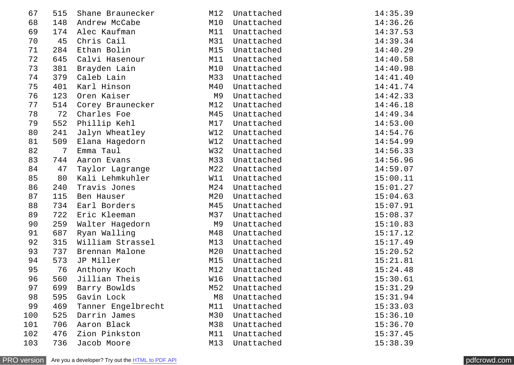| 67  | 515            | Shane Braunecker   | M12            | Unattached | 14:35.39 |
|-----|----------------|--------------------|----------------|------------|----------|
| 68  | 148            | Andrew McCabe      | M10            | Unattached | 14:36.26 |
| 69  | 174            | Alec Kaufman       | M11            | Unattached | 14:37.53 |
| 70  | 45             | Chris Cail         | M31            | Unattached | 14:39.34 |
| 71  | 284            | Ethan Bolin        | M15            | Unattached | 14:40.29 |
| 72  | 645            | Calvi Hasenour     | M11            | Unattached | 14:40.58 |
| 73  | 381            | Brayden Lain       | M10            | Unattached | 14:40.98 |
| 74  | 379            | Caleb Lain         | M33            | Unattached | 14:41.40 |
| 75  | 401            | Karl Hinson        | M40            | Unattached | 14:41.74 |
| 76  | 123            | Oren Kaiser        | M9             | Unattached | 14:42.33 |
| 77  | 514            | Corey Braunecker   | M12            | Unattached | 14:46.18 |
| 78  | 72             | Charles Foe        | M45            | Unattached | 14:49.34 |
| 79  | 552            | Phillip Kehl       | M17            | Unattached | 14:53.00 |
| 80  | 241            | Jalyn Wheatley     | W12            | Unattached | 14:54.76 |
| 81  | 509            | Elana Hagedorn     | W12            | Unattached | 14:54.99 |
| 82  | $\overline{7}$ | Emma Taul          | W32            | Unattached | 14:56.33 |
| 83  | 744            | Aaron Evans        | M33            | Unattached | 14:56.96 |
| 84  | 47             | Taylor Lagrange    | M22            | Unattached | 14:59.07 |
| 85  | 80             | Kali Lehmkuhler    | W11            | Unattached | 15:00.11 |
| 86  | 240            | Travis Jones       | M24            | Unattached | 15:01.27 |
| 87  | 115            | Ben Hauser         | M20            | Unattached | 15:04.63 |
| 88  | 734            | Earl Borders       | M45            | Unattached | 15:07.91 |
| 89  | 722            | Eric Kleeman       | M37            | Unattached | 15:08.37 |
| 90  | 259            | Walter Hagedorn    | M9             | Unattached | 15:10.83 |
| 91  | 687            | Ryan Walling       | M48            | Unattached | 15:17.12 |
| 92  | 315            | William Strassel   | M13            | Unattached | 15:17.49 |
| 93  | 737            | Brennan Malone     | M20            | Unattached | 15:20.52 |
| 94  | 573            | JP Miller          | M15            | Unattached | 15:21.81 |
| 95  | 76             | Anthony Koch       | M12            | Unattached | 15:24.48 |
| 96  | 560            | Jillian Theis      | W16            | Unattached | 15:30.61 |
| 97  | 699            | Barry Bowlds       | M52            | Unattached | 15:31.29 |
| 98  | 595            | Gavin Lock         | M <sub>8</sub> | Unattached | 15:31.94 |
| 99  | 469            | Tanner Engelbrecht | M11            | Unattached | 15:33.03 |
| 100 | 525            | Darrin James       | M30            | Unattached | 15:36.10 |
| 101 | 706            | Aaron Black        | M38            | Unattached | 15:36.70 |
| 102 | 476            | Zion Pinkston      | M11            | Unattached | 15:37.45 |
| 103 | 736            | Jacob Moore        | M13            | Unattached | 15:38.39 |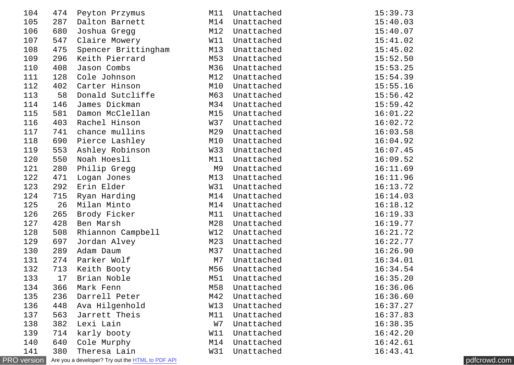| 104                |     | 474 Peyton Przymus                               | M11       | Unattached | 15:39.73 |              |
|--------------------|-----|--------------------------------------------------|-----------|------------|----------|--------------|
| 105                | 287 | Dalton Barnett                                   | M14       | Unattached | 15:40.03 |              |
| 106                | 680 | Joshua Gregg                                     | M12       | Unattached | 15:40.07 |              |
| 107                | 547 | Claire Mowery                                    | W11       | Unattached | 15:41.02 |              |
| 108                | 475 |                                                  | M13       | Unattached | 15:45.02 |              |
| 109                | 296 | Spencer Brittingham<br>Keith Pierrard            | M53       | Unattached | 15:52.50 |              |
| 110                | 408 | Jason Combs                                      | M36       | Unattached | 15:53.25 |              |
| 111                | 128 | Cole Johnson                                     | M12       | Unattached | 15:54.39 |              |
| 112                | 402 | Carter Hinson                                    | M10       | Unattached | 15:55.16 |              |
| 113                | 58  | Donald Sutcliffe                                 | M63       | Unattached | 15:56.42 |              |
| 114                | 146 | James Dickman                                    | M34       | Unattached | 15:59.42 |              |
| 115                | 581 | Damon McClellan                                  | M15       | Unattached | 16:01.22 |              |
| 116                | 403 | Rachel Hinson                                    | W37       | Unattached | 16:02.72 |              |
| 117                | 741 | chance mullins                                   | M29       | Unattached | 16:03.58 |              |
| 118                | 690 | Pierce Lashley                                   | M10       | Unattached | 16:04.92 |              |
| 119                | 553 | Ashley Robinson                                  | W33       | Unattached | 16:07.45 |              |
| 120                | 550 | Noah Hoesli                                      | M11       | Unattached | 16:09.52 |              |
| 121                | 280 | Philip Gregg                                     | <b>M9</b> | Unattached | 16:11.69 |              |
| 122                | 471 | Logan Jones                                      | M13       | Unattached | 16:11.96 |              |
| 123                | 292 | Erin Elder                                       | W31       | Unattached | 16:13.72 |              |
| 124                | 715 | Ryan Harding                                     | M14       | Unattached | 16:14.03 |              |
| 125                | 26  | Milan Minto                                      | M14       | Unattached | 16:18.12 |              |
| 126                | 265 | Brody Ficker                                     | M11       | Unattached | 16:19.33 |              |
| 127                | 428 | Ben Marsh                                        | M28       | Unattached | 16:19.77 |              |
| 128                | 508 | Rhiannon Campbell                                | W12       | Unattached | 16:21.72 |              |
| 129                | 697 | Jordan Alvey                                     | M23       | Unattached | 16:22.77 |              |
| 130                | 289 | Adam Daum                                        | M37       | Unattached | 16:26.90 |              |
| 131                | 274 | Parker Wolf                                      | M7        | Unattached | 16:34.01 |              |
| 132                | 713 | Keith Booty                                      | M56       | Unattached | 16:34.54 |              |
| 133                | 17  | Brian Noble                                      | M51       | Unattached | 16:35.20 |              |
| 134                | 366 | Mark Fenn                                        | M58       | Unattached | 16:36.06 |              |
| 135                | 236 | Darrell Peter                                    | M42       | Unattached | 16:36.60 |              |
| 136                | 448 | Ava Hilgenhold                                   | W13       | Unattached | 16:37.27 |              |
| 137                | 563 | Jarrett Theis                                    | M11       | Unattached | 16:37.83 |              |
| 138                | 382 | Lexi Lain                                        | W7        | Unattached | 16:38.35 |              |
| 139                | 714 | karly booty                                      | W11       | Unattached | 16:42.20 |              |
| 140                | 640 | Cole Murphy                                      | M14       | Unattached | 16:42.61 |              |
| 141                | 380 | Theresa Lain                                     | W31       | Unattached | 16:43.41 |              |
| <b>PRO</b> version |     | Are you a developer? Try out the HTML to PDF API |           |            |          | pdfcrowd.com |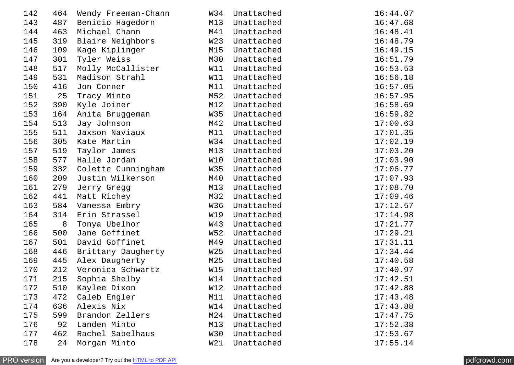| 142 | 464 | Wendy Freeman-Chann | W34             | Unattached | 16:44.07 |
|-----|-----|---------------------|-----------------|------------|----------|
| 143 | 487 | Benicio Hagedorn    | M13             | Unattached | 16:47.68 |
| 144 | 463 | Michael Chann       | M41             | Unattached | 16:48.41 |
| 145 | 319 | Blaire Neighbors    | W <sub>23</sub> | Unattached | 16:48.79 |
| 146 | 109 | Kage Kiplinger      | M15             | Unattached | 16:49.15 |
| 147 | 301 | Tyler Weiss         | M30             | Unattached | 16:51.79 |
| 148 | 517 | Molly McCallister   | W11             | Unattached | 16:53.53 |
| 149 | 531 | Madison Strahl      | W11             | Unattached | 16:56.18 |
| 150 | 416 | Jon Conner          | M11             | Unattached | 16:57.05 |
| 151 | 25  | Tracy Minto         | M52             | Unattached | 16:57.95 |
| 152 | 390 | Kyle Joiner         | M12             | Unattached | 16:58.69 |
| 153 | 164 | Anita Bruggeman     | W35             | Unattached | 16:59.82 |
| 154 | 513 | Jay Johnson         | M42             | Unattached | 17:00.63 |
| 155 | 511 | Jaxson Naviaux      | M11             | Unattached | 17:01.35 |
| 156 | 305 | Kate Martin         | W34             | Unattached | 17:02.19 |
| 157 | 519 | Taylor James        | M13             | Unattached | 17:03.20 |
| 158 | 577 | Halle Jordan        | W10             | Unattached | 17:03.90 |
| 159 | 332 | Colette Cunningham  | W35             | Unattached | 17:06.77 |
| 160 | 209 | Justin Wilkerson    | M40             | Unattached | 17:07.93 |
| 161 | 279 | Jerry Gregg         | M13             | Unattached | 17:08.70 |
| 162 | 441 | Matt Richey         | M32             | Unattached | 17:09.46 |
| 163 | 584 | Vanessa Embry       | W36             | Unattached | 17:12.57 |
| 164 | 314 | Erin Strassel       | W19             | Unattached | 17:14.98 |
| 165 | 8   | Tonya Ubelhor       | W43             | Unattached | 17:21.77 |
| 166 | 500 | Jane Goffinet       | <b>W52</b>      | Unattached | 17:29.21 |
| 167 | 501 | David Goffinet      | M49             | Unattached | 17:31.11 |
| 168 | 446 | Brittany Daugherty  | W <sub>25</sub> | Unattached | 17:34.44 |
| 169 | 445 | Alex Daugherty      | M25             | Unattached | 17:40.58 |
| 170 | 212 | Veronica Schwartz   | W15             | Unattached | 17:40.97 |
| 171 | 215 | Sophia Shelby       | W14             | Unattached | 17:42.51 |
| 172 | 510 | Kaylee Dixon        | W12             | Unattached | 17:42.88 |
| 173 | 472 | Caleb Engler        | M11             | Unattached | 17:43.48 |
| 174 | 636 | Alexis Nix          | W14             | Unattached | 17:43.88 |
| 175 | 599 | Brandon Zellers     | M24             | Unattached | 17:47.75 |
| 176 | 92  | Landen Minto        | M13             | Unattached | 17:52.38 |
| 177 | 462 | Rachel Sabelhaus    | W30             | Unattached | 17:53.67 |
| 178 | 24  | Morgan Minto        | W21             | Unattached | 17:55.14 |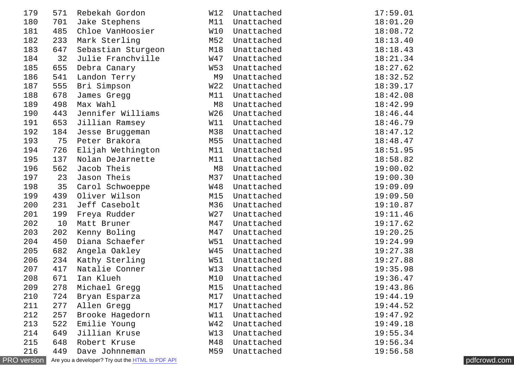| 179                | 571 | Rebekah Gordon                                   | W12 | Unattached | 17:59.01 |              |
|--------------------|-----|--------------------------------------------------|-----|------------|----------|--------------|
| 180                | 701 | Jake Stephens                                    | M11 | Unattached | 18:01.20 |              |
| 181                | 485 | Chloe VanHoosier                                 | W10 | Unattached | 18:08.72 |              |
| 182                | 233 | Mark Sterling                                    | M52 | Unattached | 18:13.40 |              |
| 183                | 647 | Sebastian Sturgeon                               | M18 | Unattached | 18:18.43 |              |
| 184                | 32  | Julie Franchville                                | W47 | Unattached | 18:21.34 |              |
| 185                | 655 | Debra Canary                                     | W53 | Unattached | 18:27.62 |              |
| 186                | 541 | Landon Terry                                     | M9  | Unattached | 18:32.52 |              |
| 187                | 555 | Bri Simpson                                      | W22 | Unattached | 18:39.17 |              |
| 188                | 678 | James Gregg                                      | M11 | Unattached | 18:42.08 |              |
| 189                | 498 | Max Wahl                                         | M8  | Unattached | 18:42.99 |              |
| 190                | 443 | Jennifer Williams                                | W26 | Unattached | 18:46.44 |              |
| 191                | 653 | Jillian Ramsey                                   | W11 | Unattached | 18:46.79 |              |
| 192                | 184 | Jesse Bruggeman                                  | M38 | Unattached | 18:47.12 |              |
| 193                | 75  | Peter Brakora                                    | M55 | Unattached | 18:48.47 |              |
| 194                | 726 | Elijah Wethington                                | M11 | Unattached | 18:51.95 |              |
| 195                | 137 | Nolan DeJarnette                                 | M11 | Unattached | 18:58.82 |              |
| 196                | 562 | Jacob Theis                                      | M8  | Unattached | 19:00.02 |              |
| 197                | 23  | Jason Theis                                      | M37 | Unattached | 19:00.30 |              |
| 198                | 35  | Carol Schwoeppe                                  | W48 | Unattached | 19:09.09 |              |
| 199                | 439 | Oliver Wilson                                    | M15 | Unattached | 19:09.50 |              |
| 200                | 231 | Jeff Casebolt                                    | M36 | Unattached | 19:10.87 |              |
| 201                | 199 | Freya Rudder                                     | W27 | Unattached | 19:11.46 |              |
| 202                | 10  | Matt Bruner                                      | M47 | Unattached | 19:17.62 |              |
| 203                | 202 | Kenny Boling                                     | M47 | Unattached | 19:20.25 |              |
| 204                | 450 | Diana Schaefer                                   | W51 | Unattached | 19:24.99 |              |
| 205                | 682 | Angela Oakley                                    | W45 | Unattached | 19:27.38 |              |
| 206                | 234 | Kathy Sterling                                   | W51 | Unattached | 19:27.88 |              |
| 207                | 417 | Natalie Conner                                   | W13 | Unattached | 19:35.98 |              |
| 208                | 671 | Ian Klueh                                        | M10 | Unattached | 19:36.47 |              |
| 209                | 278 | Michael Gregg                                    | M15 | Unattached | 19:43.86 |              |
| 210                | 724 | Bryan Esparza                                    | M17 | Unattached | 19:44.19 |              |
| 211                | 277 | Allen Gregg                                      | M17 | Unattached | 19:44.52 |              |
| 212                | 257 | Brooke Hagedorn                                  | W11 | Unattached | 19:47.92 |              |
| 213                | 522 | Emilie Young                                     | W42 | Unattached | 19:49.18 |              |
| 214                | 649 | Jillian Kruse                                    | W13 | Unattached | 19:55.34 |              |
| 215                | 648 | Robert Kruse                                     | M48 | Unattached | 19:56.34 |              |
| 216                | 449 | Dave Johnneman                                   | M59 | Unattached | 19:56.58 |              |
| <b>PRO</b> version |     | Are you a developer? Try out the HTML to PDF API |     |            |          | pdfcrowd.com |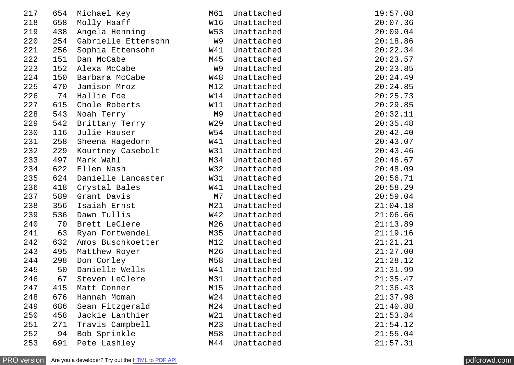| 217 | 654 | Michael Key         | M61             | Unattached | 19:57.08 |
|-----|-----|---------------------|-----------------|------------|----------|
| 218 | 658 | Molly Haaff         | W16             | Unattached | 20:07.36 |
| 219 | 438 | Angela Henning      | W53             | Unattached | 20:09.04 |
| 220 | 254 | Gabrielle Ettensohn | W9              | Unattached | 20:18.86 |
| 221 | 256 | Sophia Ettensohn    | W41             | Unattached | 20:22.34 |
| 222 | 151 | Dan McCabe          | M45             | Unattached | 20:23.57 |
| 223 | 152 | Alexa McCabe        | W9              | Unattached | 20:23.85 |
| 224 | 150 | Barbara McCabe      | <b>W48</b>      | Unattached | 20:24.49 |
| 225 | 470 | Jamison Mroz        | M12             | Unattached | 20:24.85 |
| 226 | 74  | Hallie Foe          | W14             | Unattached | 20:25.73 |
| 227 | 615 | Chole Roberts       | W11             | Unattached | 20:29.85 |
| 228 | 543 | Noah Terry          | M9              | Unattached | 20:32.11 |
| 229 | 542 | Brittany Terry      | W <sub>29</sub> | Unattached | 20:35.48 |
| 230 | 116 | Julie Hauser        | W54             | Unattached | 20:42.40 |
| 231 | 258 | Sheena Hagedorn     | W41             | Unattached | 20:43.07 |
| 232 | 229 | Kourtney Casebolt   | W31             | Unattached | 20:43.46 |
| 233 | 497 | Mark Wahl           | M34             | Unattached | 20:46.67 |
| 234 | 622 | Ellen Nash          | W32             | Unattached | 20:48.09 |
| 235 | 624 | Danielle Lancaster  | W31             | Unattached | 20:56.71 |
| 236 | 418 | Crystal Bales       | W41             | Unattached | 20:58.29 |
| 237 | 589 | Grant Davis         | M7              | Unattached | 20:59.04 |
| 238 | 356 | Isaiah Ernst        | M21             | Unattached | 21:04.18 |
| 239 | 536 | Dawn Tullis         | W42             | Unattached | 21:06.66 |
| 240 | 70  | Brett LeClere       | M26             | Unattached | 21:13.89 |
| 241 | 63  | Ryan Fortwendel     | M35             | Unattached | 21:19.16 |
| 242 | 632 | Amos Buschkoetter   | M12             | Unattached | 21:21.21 |
| 243 | 495 | Matthew Royer       | M26             | Unattached | 21:27.00 |
| 244 | 298 | Don Corley          | M58             | Unattached | 21:28.12 |
| 245 | 50  | Danielle Wells      | W41             | Unattached | 21:31.99 |
| 246 | 67  | Steven LeClere      | M31             | Unattached | 21:35.47 |
| 247 | 415 | Matt Conner         | M15             | Unattached | 21:36.43 |
| 248 | 676 | Hannah Moman        | W <sub>24</sub> | Unattached | 21:37.98 |
| 249 | 686 | Sean Fitzgerald     | M24             | Unattached | 21:40.88 |
| 250 | 458 | Jackie Lanthier     | W21             | Unattached | 21:53.84 |
| 251 | 271 | Travis Campbell     | M23             | Unattached | 21:54.12 |
| 252 | 94  | Bob Sprinkle        | M58             | Unattached | 21:55.04 |
| 253 | 691 | Pete Lashley        | M44             | Unattached | 21:57.31 |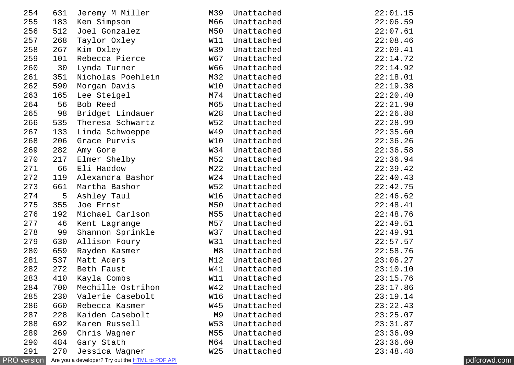| 254                | 631 | Jeremy M Miller                                         | M39             | Unattached | 22:01.15 |              |
|--------------------|-----|---------------------------------------------------------|-----------------|------------|----------|--------------|
| 255                | 183 | Ken Simpson                                             | M66             | Unattached | 22:06.59 |              |
| 256                | 512 | Joel Gonzalez                                           | M50             | Unattached | 22:07.61 |              |
| 257                | 268 | Taylor Oxley                                            | W11             | Unattached | 22:08.46 |              |
| 258                | 267 | Kim Oxley                                               | W39             | Unattached | 22:09.41 |              |
| 259                | 101 | Rebecca Pierce                                          | W67             | Unattached | 22:14.72 |              |
| 260                | 30  | Lynda Turner                                            | W66             | Unattached | 22:14.92 |              |
| 261                | 351 | Nicholas Poehlein                                       | M32             | Unattached | 22:18.01 |              |
| 262                | 590 | Morgan Davis                                            | W10             | Unattached | 22:19.38 |              |
| 263                | 165 | Lee Steigel                                             | M74             | Unattached | 22:20.40 |              |
| 264                | 56  | Bob Reed                                                | M65             | Unattached | 22:21.90 |              |
| 265                | 98  | Bridget Lindauer                                        | W28             | Unattached | 22:26.88 |              |
| 266                | 535 | Theresa Schwartz                                        | W52             | Unattached | 22:28.99 |              |
| 267                | 133 | Linda Schwoeppe                                         | W49             | Unattached | 22:35.60 |              |
| 268                | 206 | Grace Purvis                                            | W10             | Unattached | 22:36.26 |              |
| 269                | 282 | Amy Gore                                                | W34             | Unattached | 22:36.58 |              |
| 270                | 217 | Elmer Shelby                                            | M52             | Unattached | 22:36.94 |              |
| 271                | 66  | Eli Haddow                                              | M22             | Unattached | 22:39.42 |              |
| 272                | 119 | Alexandra Bashor                                        | W24             | Unattached | 22:40.43 |              |
| 273                | 661 | Martha Bashor                                           | W52             | Unattached | 22:42.75 |              |
| 274                | 5   | Ashley Taul                                             | W16             | Unattached | 22:46.62 |              |
| 275                | 355 | Joe Ernst                                               | M50             | Unattached | 22:48.41 |              |
| 276                | 192 | Michael Carlson                                         | M55             | Unattached | 22:48.76 |              |
| 277                | 46  | Kent Lagrange                                           | M57             | Unattached | 22:49.51 |              |
| 278                | 99  | Shannon Sprinkle                                        | W37             | Unattached | 22:49.91 |              |
| 279                | 630 | Allison Foury                                           | W31             | Unattached | 22:57.57 |              |
| 280                | 659 | Rayden Kasmer                                           | M8              | Unattached | 22:58.76 |              |
| 281                | 537 | Matt Aders                                              | M12             | Unattached | 23:06.27 |              |
| 282                | 272 | Beth Faust                                              | W41             | Unattached | 23:10.10 |              |
| 283                | 410 | Kayla Combs                                             | W11             | Unattached | 23:15.76 |              |
| 284                | 700 | Mechille Ostrihon                                       | W42             | Unattached | 23:17.86 |              |
| 285                | 230 | Valerie Casebolt                                        | W16             | Unattached | 23:19.14 |              |
| 286                | 660 | Rebecca Kasmer                                          | W45             | Unattached | 23:22.43 |              |
| 287                | 228 | Kaiden Casebolt                                         | M9              | Unattached | 23:25.07 |              |
| 288                | 692 | Karen Russell                                           | W53             | Unattached | 23:31.87 |              |
| 289                | 269 | Chris Wagner                                            | M55             | Unattached | 23:36.09 |              |
| 290                | 484 | Gary Stath                                              | M64             | Unattached | 23:36.60 |              |
| 291                | 270 | Jessica Wagner                                          | W <sub>25</sub> | Unattached | 23:48.48 |              |
| <b>PRO</b> version |     | Are you a developer? Try out the <b>HTML</b> to PDF API |                 |            |          | pdfcrowd.com |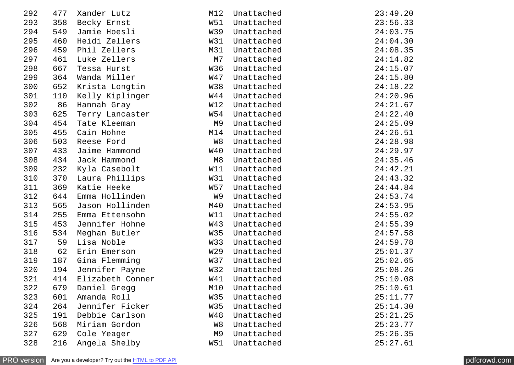| 292 | 477 | Xander Lutz      | M12             | Unattached | 23:49.20 |
|-----|-----|------------------|-----------------|------------|----------|
| 293 | 358 | Becky Ernst      | W51             | Unattached | 23:56.33 |
| 294 | 549 | Jamie Hoesli     | W39             | Unattached | 24:03.75 |
| 295 | 460 | Heidi Zellers    | W31             | Unattached | 24:04.30 |
| 296 | 459 | Phil Zellers     | M31             | Unattached | 24:08.35 |
| 297 | 461 | Luke Zellers     | M7              | Unattached | 24:14.82 |
| 298 | 667 | Tessa Hurst      | <b>W36</b>      | Unattached | 24:15.07 |
| 299 | 364 | Wanda Miller     | W47             | Unattached | 24:15.80 |
| 300 | 652 | Krista Longtin   | <b>W38</b>      | Unattached | 24:18.22 |
| 301 | 110 | Kelly Kiplinger  | W44             | Unattached | 24:20.96 |
| 302 | 86  | Hannah Gray      | W12             | Unattached | 24:21.67 |
| 303 | 625 | Terry Lancaster  | W54             | Unattached | 24:22.40 |
| 304 | 454 | Tate Kleeman     | M <sub>9</sub>  | Unattached | 24:25.09 |
| 305 | 455 | Cain Hohne       | M14             | Unattached | 24:26.51 |
| 306 | 503 | Reese Ford       | W8              | Unattached | 24:28.98 |
| 307 | 433 | Jaime Hammond    | W40             | Unattached | 24:29.97 |
| 308 | 434 | Jack Hammond     | M <sub>8</sub>  | Unattached | 24:35.46 |
| 309 | 232 | Kyla Casebolt    | W11             | Unattached | 24:42.21 |
| 310 | 370 | Laura Phillips   | W31             | Unattached | 24:43.32 |
| 311 | 369 | Katie Heeke      | W57             | Unattached | 24:44.84 |
| 312 | 644 | Emma Hollinden   | W9              | Unattached | 24:53.74 |
| 313 | 565 | Jason Hollinden  | M40             | Unattached | 24:53.95 |
| 314 | 255 | Emma Ettensohn   | W11             | Unattached | 24:55.02 |
| 315 | 453 | Jennifer Hohne   | W43             | Unattached | 24:55.39 |
| 316 | 534 | Meghan Butler    | W35             | Unattached | 24:57.58 |
| 317 | 59  | Lisa Noble       | W33             | Unattached | 24:59.78 |
| 318 | 62  | Erin Emerson     | W <sub>29</sub> | Unattached | 25:01.37 |
| 319 | 187 | Gina Flemming    | W37             | Unattached | 25:02.65 |
| 320 | 194 | Jennifer Payne   | W32             | Unattached | 25:08.26 |
| 321 | 414 | Elizabeth Conner | W41             | Unattached | 25:10.08 |
| 322 | 679 | Daniel Gregg     | M10             | Unattached | 25:10.61 |
| 323 | 601 | Amanda Roll      | W35             | Unattached | 25:11.77 |
| 324 | 264 | Jennifer Ficker  | W35             | Unattached | 25:14.30 |
| 325 | 191 | Debbie Carlson   | <b>W48</b>      | Unattached | 25:21.25 |
| 326 | 568 | Miriam Gordon    | W8              | Unattached | 25:23.77 |
| 327 | 629 | Cole Yeager      | M <sub>9</sub>  | Unattached | 25:26.35 |
| 328 | 216 | Angela Shelby    | W51             | Unattached | 25:27.61 |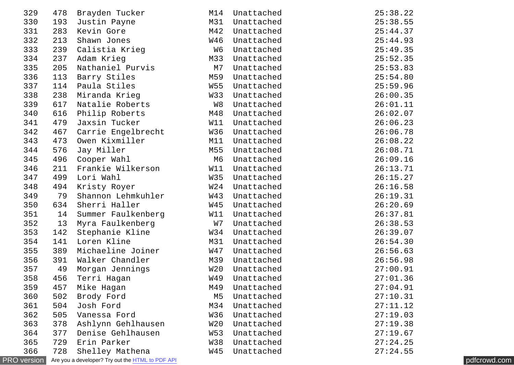| 329                |     | 478 Brayden Tucker                               | M14       | Unattached | 25:38.22 |              |
|--------------------|-----|--------------------------------------------------|-----------|------------|----------|--------------|
| 330                | 193 | Justin Payne                                     | M31       | Unattached | 25:38.55 |              |
| 331                | 283 | Kevin Gore                                       | M42       | Unattached | 25:44.37 |              |
| 332                | 213 | Shawn Jones                                      | W46       | Unattached | 25:44.93 |              |
| 333                | 239 | Calistia Krieg                                   | W6        | Unattached | 25:49.35 |              |
| 334                | 237 | Adam Krieg                                       | M33       | Unattached | 25:52.35 |              |
| 335                | 205 | Nathaniel Purvis                                 | M7        | Unattached | 25:53.83 |              |
| 336                | 113 | Barry Stiles                                     | M59       | Unattached | 25:54.80 |              |
| 337                | 114 | Paula Stiles                                     | W55       | Unattached | 25:59.96 |              |
| 338                | 238 | Miranda Krieg                                    | W33       | Unattached | 26:00.35 |              |
| 339                | 617 | Natalie Roberts                                  | W8        | Unattached | 26:01.11 |              |
| 340                | 616 | Philip Roberts                                   | M48       | Unattached | 26:02.07 |              |
| 341                | 479 | Jaxsin Tucker                                    | W11       | Unattached | 26:06.23 |              |
| 342                | 467 | Carrie Engelbrecht                               | W36       | Unattached | 26:06.78 |              |
| 343                | 473 | Owen Kixmiller                                   | M11       | Unattached | 26:08.22 |              |
| 344                | 576 | Jay Miller                                       | M55       | Unattached | 26:08.71 |              |
| 345                | 496 | Cooper Wahl                                      | M6        | Unattached | 26:09.16 |              |
| 346                | 211 | Frankie Wilkerson                                | W11       | Unattached | 26:13.71 |              |
| 347                | 499 | Lori Wahl                                        | W35       | Unattached | 26:15.27 |              |
| 348                | 494 | Kristy Royer                                     | W24       | Unattached | 26:16.58 |              |
| 349                | 79  | Shannon Lehmkuhler                               | W43       | Unattached | 26:19.31 |              |
| 350                |     | 634 Sherri Haller                                | W45       | Unattached | 26:20.69 |              |
| 351                | 14  | Summer Faulkenberg                               | W11       | Unattached | 26:37.81 |              |
| 352                | 13  | Myra Faulkenberg                                 | <b>W7</b> | Unattached | 26:38.53 |              |
| 353                | 142 | Stephanie Kline                                  | W34       | Unattached | 26:39.07 |              |
| 354                | 141 | Loren Kline                                      | M31       | Unattached | 26:54.30 |              |
| 355                | 389 | Michaeline Joiner                                | W47       | Unattached | 26:56.63 |              |
| 356                | 391 | Walker Chandler                                  | M39       | Unattached | 26:56.98 |              |
| 357                | 49  | Morgan Jennings                                  | W20       | Unattached | 27:00.91 |              |
| 358                | 456 | Terri Hagan                                      | W49       | Unattached | 27:01.36 |              |
| 359                | 457 | Mike Hagan                                       | M49       | Unattached | 27:04.91 |              |
| 360                | 502 | Brody Ford                                       | M5        | Unattached | 27:10.31 |              |
| 361                | 504 | Josh Ford                                        | M34       | Unattached | 27:11.12 |              |
| 362                | 505 | Vanessa Ford                                     | W36       | Unattached | 27:19.03 |              |
| 363                | 378 | Ashlynn Gehlhausen                               | W20       | Unattached | 27:19.38 |              |
| 364                | 377 | Denise Gehlhausen                                | W53       | Unattached | 27:19.67 |              |
| 365                | 729 | Erin Parker                                      | W38       | Unattached | 27:24.25 |              |
| 366                | 728 | Shelley Mathena                                  | W45       | Unattached | 27:24.55 |              |
| <b>PRO</b> version |     | Are you a developer? Try out the HTML to PDF API |           |            |          | pdfcrowd.com |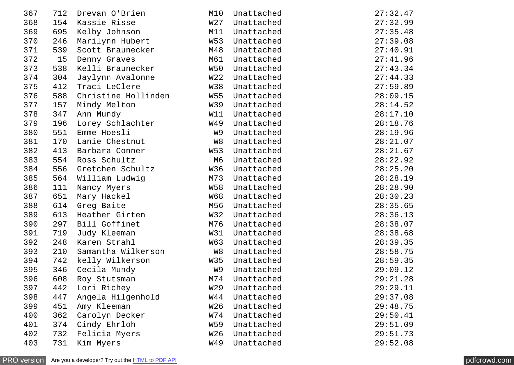| 367 | 712 | Drevan O'Brien      | M10             | Unattached | 27:32.47 |
|-----|-----|---------------------|-----------------|------------|----------|
| 368 | 154 | Kassie Risse        | W <sub>27</sub> | Unattached | 27:32.99 |
| 369 | 695 | Kelby Johnson       | M11             | Unattached | 27:35.48 |
| 370 | 246 | Marilynn Hubert     | W53             | Unattached | 27:39.08 |
| 371 | 539 | Scott Braunecker    | M48             | Unattached | 27:40.91 |
| 372 | 15  | Denny Graves        | M61             | Unattached | 27:41.96 |
| 373 | 538 | Kelli Braunecker    | W50             | Unattached | 27:43.34 |
| 374 | 304 | Jaylynn Avalonne    | W <sub>22</sub> | Unattached | 27:44.33 |
| 375 | 412 | Traci LeClere       | W38             | Unattached | 27:59.89 |
| 376 | 588 | Christine Hollinden | W55             | Unattached | 28:09.15 |
| 377 | 157 | Mindy Melton        | W39             | Unattached | 28:14.52 |
| 378 | 347 | Ann Mundy           | W11             | Unattached | 28:17.10 |
| 379 | 196 | Lorey Schlachter    | W49             | Unattached | 28:18.76 |
| 380 | 551 | Emme Hoesli         | W9              | Unattached | 28:19.96 |
| 381 | 170 | Lanie Chestnut      | W8              | Unattached | 28:21.07 |
| 382 | 413 | Barbara Conner      | W53             | Unattached | 28:21.67 |
| 383 | 554 | Ross Schultz        | M <sub>6</sub>  | Unattached | 28:22.92 |
| 384 | 556 | Gretchen Schultz    | W36             | Unattached | 28:25.20 |
| 385 | 564 | William Ludwig      | M73             | Unattached | 28:28.19 |
| 386 | 111 | Nancy Myers         | <b>W58</b>      | Unattached | 28:28.90 |
| 387 | 651 | Mary Hackel         | <b>W68</b>      | Unattached | 28:30.23 |
| 388 | 614 | Greg Baite          | M56             | Unattached | 28:35.65 |
| 389 | 613 | Heather Girten      | W32             | Unattached | 28:36.13 |
| 390 | 297 | Bill Goffinet       | M76             | Unattached | 28:38.07 |
| 391 | 719 | Judy Kleeman        | W31             | Unattached | 28:38.68 |
| 392 | 248 | Karen Strahl        | W63             | Unattached | 28:39.35 |
| 393 | 210 | Samantha Wilkerson  | W8              | Unattached | 28:58.75 |
| 394 | 742 | kelly Wilkerson     | W35             | Unattached | 28:59.35 |
| 395 | 346 | Cecila Mundy        | W9              | Unattached | 29:09.12 |
| 396 | 608 | Roy Stutsman        | M74             | Unattached | 29:21.28 |
| 397 | 442 | Lori Richey         | W <sub>29</sub> | Unattached | 29:29.11 |
| 398 | 447 | Angela Hilgenhold   | W44             | Unattached | 29:37.08 |
| 399 | 451 | Amy Kleeman         | W <sub>26</sub> | Unattached | 29:48.75 |
| 400 | 362 | Carolyn Decker      | W74             | Unattached | 29:50.41 |
| 401 | 374 | Cindy Ehrloh        | W59             | Unattached | 29:51.09 |
| 402 | 732 | Felicia Myers       | W <sub>26</sub> | Unattached | 29:51.73 |
| 403 | 731 | Kim Myers           | W49             | Unattached | 29:52.08 |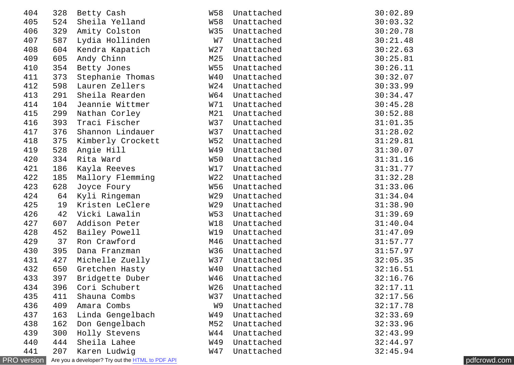| 404                |     | 328 Betty Cash                                   | W58       | Unattached | 30:02.89     |  |
|--------------------|-----|--------------------------------------------------|-----------|------------|--------------|--|
| 405                |     | 524 Sheila Yelland                               | W58       | Unattached | 30:03.32     |  |
| 406                | 329 | Amity Colston                                    | W35       | Unattached | 30:20.78     |  |
| 407                | 587 | Lydia Hollinden                                  | <b>W7</b> | Unattached | 30:21.48     |  |
| 408                | 604 | Kendra Kapatich                                  | W27       | Unattached | 30:22.63     |  |
| 409                | 605 | Andy Chinn                                       | M25       | Unattached | 30:25.81     |  |
| 410                | 354 | Betty Jones                                      | W55       | Unattached | 30:26.11     |  |
| 411                | 373 | Stephanie Thomas                                 | W40       | Unattached | 30:32.07     |  |
| 412                |     | 598 Lauren Zellers                               | W24       | Unattached | 30:33.99     |  |
| 413                |     | 291 Sheila Rearden                               | W64       | Unattached | 30:34.47     |  |
| 414                | 104 | Jeannie Wittmer                                  | W71       | Unattached | 30:45.28     |  |
| 415                | 299 | Nathan Corley                                    | M21       | Unattached | 30:52.88     |  |
| 416                |     | 393 Traci Fischer                                | W37       | Unattached | 31:01.35     |  |
| 417                | 376 | Shannon Lindauer                                 | W37       | Unattached | 31:28.02     |  |
| 418                | 375 | Kimberly Crockett                                | W52       | Unattached | 31:29.81     |  |
| 419                | 528 | Angie Hill                                       | W49       | Unattached | 31:30.07     |  |
| 420                | 334 | Rita Ward                                        | W50       | Unattached | 31:31.16     |  |
| 421                | 186 | Kayla Reeves                                     | W17       | Unattached | 31:31.77     |  |
| 422                | 185 | Mallory Flemming                                 | W22       | Unattached | 31:32.28     |  |
| 423                | 628 | Joyce Foury                                      | W56       | Unattached | 31:33.06     |  |
| 424                |     | 64 Kyli Ringeman                                 | W29       | Unattached | 31:34.04     |  |
| 425                |     | 19 Kristen LeClere                               | W29       | Unattached | 31:38.90     |  |
| 426                | 42  | Vicki Lawalin                                    | W53       | Unattached | 31:39.69     |  |
| 427                | 607 | Addison Peter                                    | W18       | Unattached | 31:40.04     |  |
| 428                | 452 | Bailey Powell                                    | W19       | Unattached | 31:47.09     |  |
| 429                | 37  | Ron Crawford                                     | M46       | Unattached | 31:57.77     |  |
| 430                | 395 | Dana Franzman                                    | W36       | Unattached | 31:57.97     |  |
| 431                | 427 | Michelle Zuelly                                  | W37       | Unattached | 32:05.35     |  |
| 432                | 650 | Gretchen Hasty                                   | W40       | Unattached | 32:16.51     |  |
| 433                | 397 | Bridgette Duber                                  | W46       | Unattached | 32:16.76     |  |
| 434                | 396 | Cori Schubert                                    | W26       | Unattached | 32:17.11     |  |
| 435                | 411 | Shauna Combs                                     | W37       | Unattached | 32:17.56     |  |
| 436                | 409 | Amara Combs                                      | W9        | Unattached | 32:17.78     |  |
| 437                | 163 | Linda Gengelbach                                 | W49       | Unattached | 32:33.69     |  |
| 438                | 162 | Don Gengelbach                                   | M52       | Unattached | 32:33.96     |  |
| 439                | 300 | Holly Stevens                                    | W44       | Unattached | 32:43.99     |  |
| 440                | 444 | Sheila Lahee                                     | W49       | Unattached | 32:44.97     |  |
| 441                | 207 | Karen Ludwig                                     | W47       | Unattached | 32:45.94     |  |
| <b>PRO</b> version |     | Are you a developer? Try out the HTML to PDF API |           |            | pdfcrowd.com |  |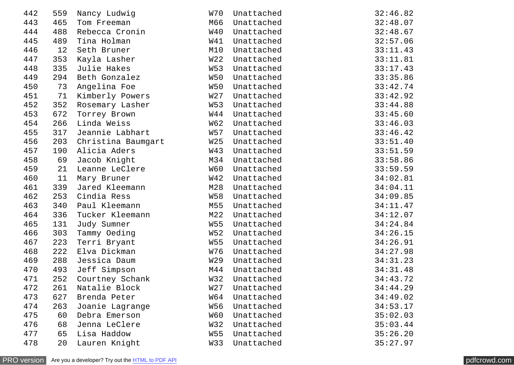| 442 | 559 | Nancy Ludwig       | W70             | Unattached | 32:46.82 |
|-----|-----|--------------------|-----------------|------------|----------|
| 443 | 465 | Tom Freeman        | M66             | Unattached | 32:48.07 |
| 444 | 488 | Rebecca Cronin     | W40             | Unattached | 32:48.67 |
| 445 | 489 | Tina Holman        | W41             | Unattached | 32:57.06 |
| 446 | 12  | Seth Bruner        | M10             | Unattached | 33:11.43 |
| 447 | 353 | Kayla Lasher       | W <sub>22</sub> | Unattached | 33:11.81 |
| 448 | 335 | Julie Hakes        | W53             | Unattached | 33:17.43 |
| 449 | 294 | Beth Gonzalez      | W50             | Unattached | 33:35.86 |
| 450 | 73  | Angelina Foe       | W50             | Unattached | 33:42.74 |
| 451 | 71  | Kimberly Powers    | W <sub>27</sub> | Unattached | 33:42.92 |
| 452 | 352 | Rosemary Lasher    | W53             | Unattached | 33:44.88 |
| 453 | 672 | Torrey Brown       | W44             | Unattached | 33:45.60 |
| 454 | 266 | Linda Weiss        | W62             | Unattached | 33:46.03 |
| 455 | 317 | Jeannie Labhart    | W57             | Unattached | 33:46.42 |
| 456 | 203 | Christina Baumgart | W <sub>25</sub> | Unattached | 33:51.40 |
| 457 | 190 | Alicia Aders       | W43             | Unattached | 33:51.59 |
| 458 | 69  | Jacob Knight       | M34             | Unattached | 33:58.86 |
| 459 | 21  | Leanne LeClere     | W60             | Unattached | 33:59.59 |
| 460 | 11  | Mary Bruner        | W42             | Unattached | 34:02.81 |
| 461 | 339 | Jared Kleemann     | M28             | Unattached | 34:04.11 |
| 462 | 253 | Cindia Ress        | <b>W58</b>      | Unattached | 34:09.85 |
| 463 | 340 | Paul Kleemann      | M55             | Unattached | 34:11.47 |
| 464 | 336 | Tucker Kleemann    | M22             | Unattached | 34:12.07 |
| 465 | 131 | Judy Sumner        | <b>W55</b>      | Unattached | 34:24.84 |
| 466 | 303 | Tammy Oeding       | W52             | Unattached | 34:26.15 |
| 467 | 223 | Terri Bryant       | <b>W55</b>      | Unattached | 34:26.91 |
| 468 | 222 | Elva Dickman       | W76             | Unattached | 34:27.98 |
| 469 | 288 | Jessica Daum       | W <sub>29</sub> | Unattached | 34:31.23 |
| 470 | 493 | Jeff Simpson       | M44             | Unattached | 34:31.48 |
| 471 | 252 | Courtney Schank    | W32             | Unattached | 34:43.72 |
| 472 | 261 | Natalie Block      | W <sub>27</sub> | Unattached | 34:44.29 |
| 473 | 627 | Brenda Peter       | W64             | Unattached | 34:49.02 |
| 474 | 263 | Joanie Lagrange    | <b>W56</b>      | Unattached | 34:53.17 |
| 475 | 60  | Debra Emerson      | W60             | Unattached | 35:02.03 |
| 476 | 68  | Jenna LeClere      | W32             | Unattached | 35:03.44 |
| 477 | 65  | Lisa Haddow        | <b>W55</b>      | Unattached | 35:26.20 |
| 478 | 20  | Lauren Knight      | W33             | Unattached | 35:27.97 |